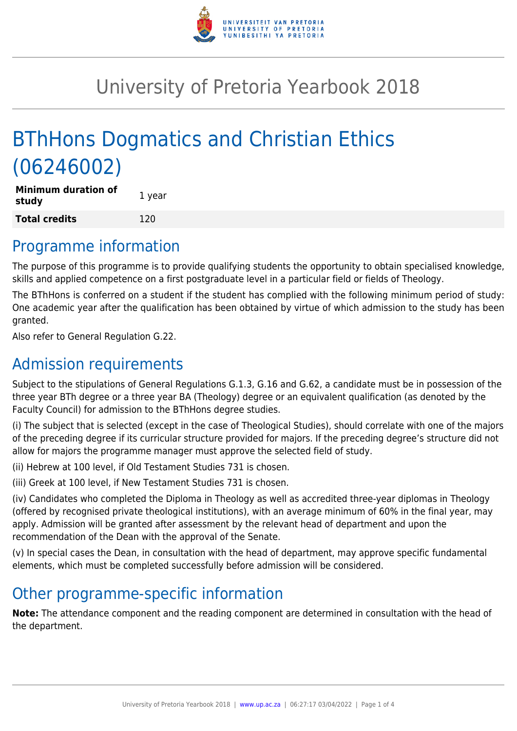

# University of Pretoria Yearbook 2018

# BThHons Dogmatics and Christian Ethics (06246002)

| Minimum duration of<br>study | 1 year |
|------------------------------|--------|
| <b>Total credits</b>         | 120    |

### Programme information

The purpose of this programme is to provide qualifying students the opportunity to obtain specialised knowledge, skills and applied competence on a first postgraduate level in a particular field or fields of Theology.

The BThHons is conferred on a student if the student has complied with the following minimum period of study: One academic year after the qualification has been obtained by virtue of which admission to the study has been granted.

Also refer to General Regulation G.22.

### Admission requirements

Subject to the stipulations of General Regulations G.1.3, G.16 and G.62, a candidate must be in possession of the three year BTh degree or a three year BA (Theology) degree or an equivalent qualification (as denoted by the Faculty Council) for admission to the BThHons degree studies.

(i) The subject that is selected (except in the case of Theological Studies), should correlate with one of the majors of the preceding degree if its curricular structure provided for majors. If the preceding degree's structure did not allow for majors the programme manager must approve the selected field of study.

(ii) Hebrew at 100 level, if Old Testament Studies 731 is chosen.

(iii) Greek at 100 level, if New Testament Studies 731 is chosen.

(iv) Candidates who completed the Diploma in Theology as well as accredited three-year diplomas in Theology (offered by recognised private theological institutions), with an average minimum of 60% in the final year, may apply. Admission will be granted after assessment by the relevant head of department and upon the recommendation of the Dean with the approval of the Senate.

(v) In special cases the Dean, in consultation with the head of department, may approve specific fundamental elements, which must be completed successfully before admission will be considered.

### Other programme-specific information

**Note:** The attendance component and the reading component are determined in consultation with the head of the department.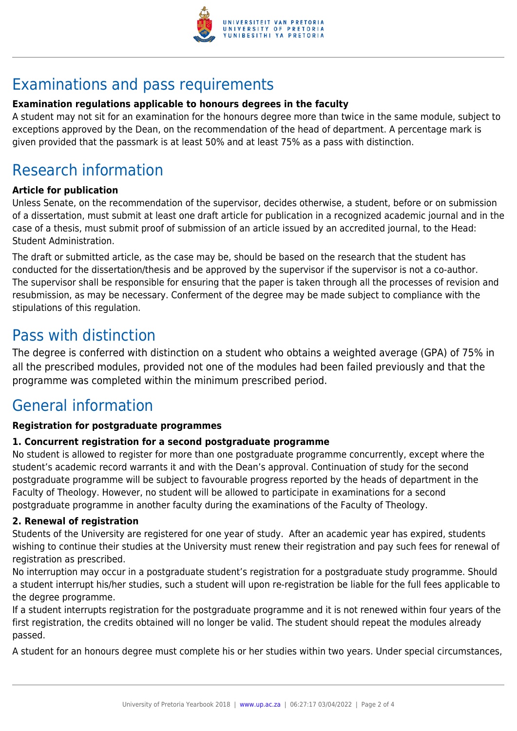

## Examinations and pass requirements

#### **Examination regulations applicable to honours degrees in the faculty**

A student may not sit for an examination for the honours degree more than twice in the same module, subject to exceptions approved by the Dean, on the recommendation of the head of department. A percentage mark is given provided that the passmark is at least 50% and at least 75% as a pass with distinction.

## Research information

#### **Article for publication**

Unless Senate, on the recommendation of the supervisor, decides otherwise, a student, before or on submission of a dissertation, must submit at least one draft article for publication in a recognized academic journal and in the case of a thesis, must submit proof of submission of an article issued by an accredited journal, to the Head: Student Administration.

The draft or submitted article, as the case may be, should be based on the research that the student has conducted for the dissertation/thesis and be approved by the supervisor if the supervisor is not a co-author. The supervisor shall be responsible for ensuring that the paper is taken through all the processes of revision and resubmission, as may be necessary. Conferment of the degree may be made subject to compliance with the stipulations of this regulation.

### Pass with distinction

The degree is conferred with distinction on a student who obtains a weighted average (GPA) of 75% in all the prescribed modules, provided not one of the modules had been failed previously and that the programme was completed within the minimum prescribed period.

### General information

#### **Registration for postgraduate programmes**

#### **1. Concurrent registration for a second postgraduate programme**

No student is allowed to register for more than one postgraduate programme concurrently, except where the student's academic record warrants it and with the Dean's approval. Continuation of study for the second postgraduate programme will be subject to favourable progress reported by the heads of department in the Faculty of Theology. However, no student will be allowed to participate in examinations for a second postgraduate programme in another faculty during the examinations of the Faculty of Theology.

#### **2. Renewal of registration**

Students of the University are registered for one year of study. After an academic year has expired, students wishing to continue their studies at the University must renew their registration and pay such fees for renewal of registration as prescribed.

No interruption may occur in a postgraduate student's registration for a postgraduate study programme. Should a student interrupt his/her studies, such a student will upon re-registration be liable for the full fees applicable to the degree programme.

If a student interrupts registration for the postgraduate programme and it is not renewed within four years of the first registration, the credits obtained will no longer be valid. The student should repeat the modules already passed.

A student for an honours degree must complete his or her studies within two years. Under special circumstances,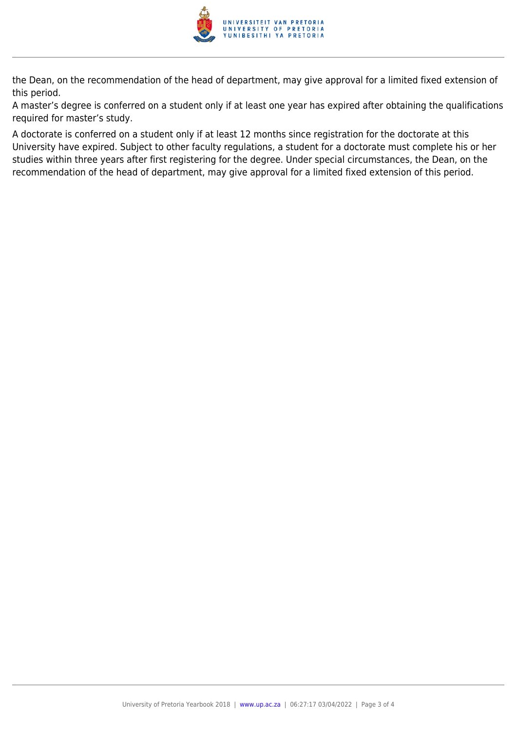

the Dean, on the recommendation of the head of department, may give approval for a limited fixed extension of this period.

A master's degree is conferred on a student only if at least one year has expired after obtaining the qualifications required for master's study.

A doctorate is conferred on a student only if at least 12 months since registration for the doctorate at this University have expired. Subject to other faculty regulations, a student for a doctorate must complete his or her studies within three years after first registering for the degree. Under special circumstances, the Dean, on the recommendation of the head of department, may give approval for a limited fixed extension of this period.